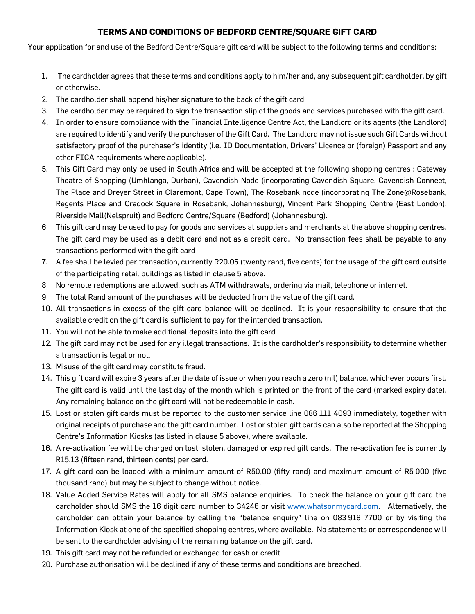## **TERMS AND CONDITIONS OF BEDFORD CENTRE/SQUARE GIFT CARD**

Your application for and use of the Bedford Centre/Square gift card will be subject to the following terms and conditions:

- 1. The cardholder agrees that these terms and conditions apply to him/her and, any subsequent gift cardholder, by gift or otherwise.
- 2. The cardholder shall append his/her signature to the back of the gift card.
- 3. The cardholder may be required to sign the transaction slip of the goods and services purchased with the gift card.
- 4. In order to ensure compliance with the Financial Intelligence Centre Act, the Landlord or its agents (the Landlord) are required to identify and verify the purchaser of the Gift Card. The Landlord may not issue such Gift Cards without satisfactory proof of the purchaser's identity (i.e. ID Documentation, Drivers' Licence or (foreign) Passport and any other FICA requirements where applicable).
- 5. This Gift Card may only be used in South Africa and will be accepted at the following shopping centres : Gateway Theatre of Shopping (Umhlanga, Durban), Cavendish Node (incorporating Cavendish Square, Cavendish Connect, The Place and Dreyer Street in Claremont, Cape Town), The Rosebank node (incorporating The Zone@Rosebank, Regents Place and Cradock Square in Rosebank, Johannesburg), Vincent Park Shopping Centre (East London), Riverside Mall(Nelspruit) and Bedford Centre/Square (Bedford) (Johannesburg).
- 6. This gift card may be used to pay for goods and services at suppliers and merchants at the above shopping centres. The gift card may be used as a debit card and not as a credit card. No transaction fees shall be payable to any transactions performed with the gift card
- 7. A fee shall be levied per transaction, currently R20.05 (twenty rand, five cents) for the usage of the gift card outside of the participating retail buildings as listed in clause 5 above.
- 8. No remote redemptions are allowed, such as ATM withdrawals, ordering via mail, telephone or internet.
- 9. The total Rand amount of the purchases will be deducted from the value of the gift card.
- 10. All transactions in excess of the gift card balance will be declined. It is your responsibility to ensure that the available credit on the gift card is sufficient to pay for the intended transaction.
- 11. You will not be able to make additional deposits into the gift card
- 12. The gift card may not be used for any illegal transactions. It is the cardholder's responsibility to determine whether a transaction is legal or not.
- 13. Misuse of the gift card may constitute fraud.
- 14. This gift card will expire 3 years after the date of issue or when you reach a zero (nil) balance, whichever occurs first. The gift card is valid until the last day of the month which is printed on the front of the card (marked expiry date). Any remaining balance on the gift card will not be redeemable in cash.
- 15. Lost or stolen gift cards must be reported to the customer service line 086 111 4093 immediately, together with original receipts of purchase and the gift card number. Lost or stolen gift cards can also be reported at the Shopping Centre's Information Kiosks (as listed in clause 5 above), where available.
- 16. A re-activation fee will be charged on lost, stolen, damaged or expired gift cards. The re-activation fee is currently R15.13 (fifteen rand, thirteen cents) per card.
- 17. A gift card can be loaded with a minimum amount of R50.00 (fifty rand) and maximum amount of R5 000 (five thousand rand) but may be subject to change without notice.
- 18. Value Added Service Rates will apply for all SMS balance enquiries. To check the balance on your gift card the cardholder should SMS the 16 digit card number to 34246 or visit [www.whatsonmycard.com.](http://www.whatsonmycard.com/) Alternatively, the cardholder can obtain your balance by calling the "balance enquiry" line on 083 918 7700 or by visiting the Information Kiosk at one of the specified shopping centres, where available. No statements or correspondence will be sent to the cardholder advising of the remaining balance on the gift card.
- 19. This gift card may not be refunded or exchanged for cash or credit
- 20. Purchase authorisation will be declined if any of these terms and conditions are breached.